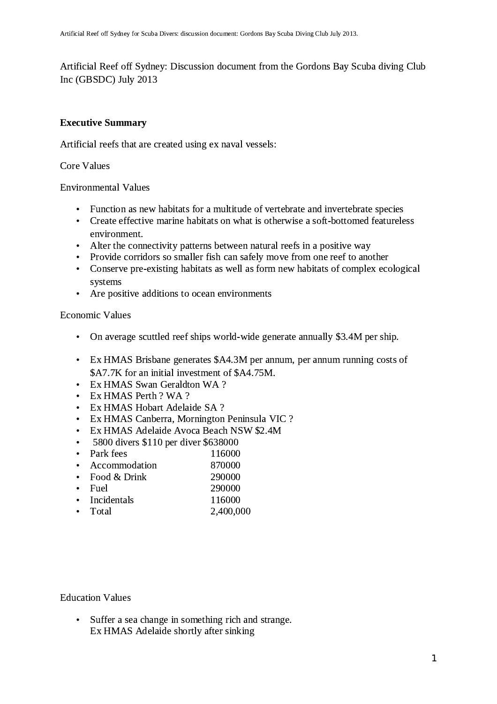Artificial Reef off Sydney: Discussion document from the Gordons Bay Scuba diving Club Inc (GBSDC) July 2013

#### Executive Summary

Artificial reefs that are created using ex naval vessels:

Core Values

#### Environmental Values

- Function as new habitats for a multitude of vertebrate and invertebrate species
- Create effective marine habitats on what is otherwise a soft-bottomed featureless environment.
- Alter the connectivity patterns between natural reefs in a positive way
- Provide corridors so smaller fish can safely move from one reef to another
- Conserve pre-existing habitats as well as form new habitats of complex ecological systems
- Are positive additions to ocean environments

Economic Values

- On average scuttled reef ships world-wide generate annually \$3.4M per ship.
- Ex HMAS Brisbane generates \$A4.3M per annum, per annum running costs of \$A7.7K for an initial investment of \$A4.75M.
- Ex HMAS Swan Geraldton WA ?
- Ex HMAS Perth ? WA ?
- Ex HMAS Hobart Adelaide SA ?
- Ex HMAS Canberra, Mornington Peninsula VIC ?
- Ex HMAS Adelaide Avoca Beach NSW \$2.4M
- 5800 divers \$110 per diver \$638000
- Park fees 116000
- Accommodation 870000
- Food & Drink 290000
- Fuel 290000
- Incidentals 116000
- Total 2,400,000

Education Values

• Suffer a sea change in something rich and strange. Ex HMAS Adelaide shortly after sinking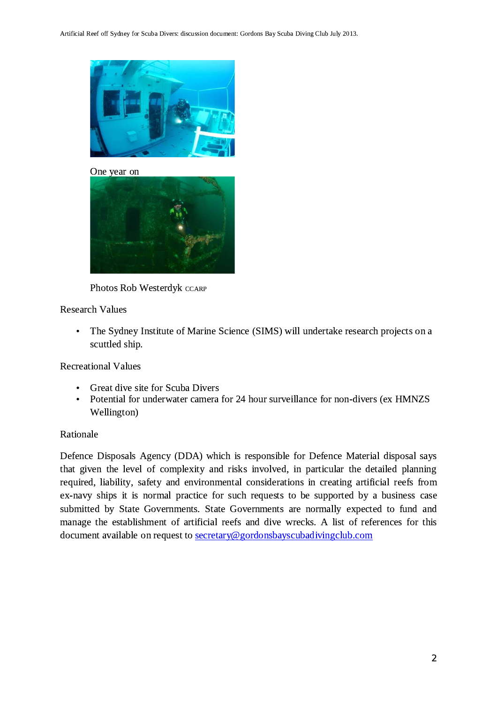





Photos Rob Westerdyk CCARP

Research Values

• The Sydney Institute of Marine Science (SIMS) will undertake research projects on a scuttled ship.

Recreational Values

- Great dive site for Scuba Divers
- Potential for underwater camera for 24 hour surveillance for non-divers (ex HMNZS Wellington)

#### Rationale

Defence Disposals Agency (DDA) which is responsible for Defence Material disposal says that given the level of complexity and risks involved, in particular the detailed planning required, liability, safety and environmental considerations in creating artificial reefs from ex-navy ships it is normal practice for such requests to be supported by a business case submitted by State Governments. State Governments are normally expected to fund and manage the establishment of artificial reefs and dive wrecks. A list of references for this document available on request to secretary@gordonsbayscubadivingclub.com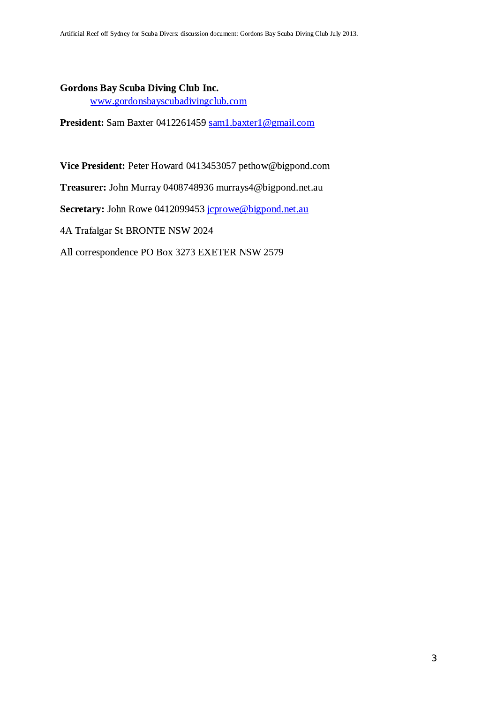#### Gordons Bay Scuba Diving Club Inc.

www.gordonsbayscubadivingclub.com

President: Sam Baxter 0412261459 sam1.baxter1@gmail.com

Vice President: Peter Howard 0413453057 pethow@bigpond.com

Treasurer: John Murray 0408748936 murrays4@bigpond.net.au

Secretary: John Rowe 0412099453 jcprowe@bigpond.net.au

4A Trafalgar St BRONTE NSW 2024

All correspondence PO Box 3273 EXETER NSW 2579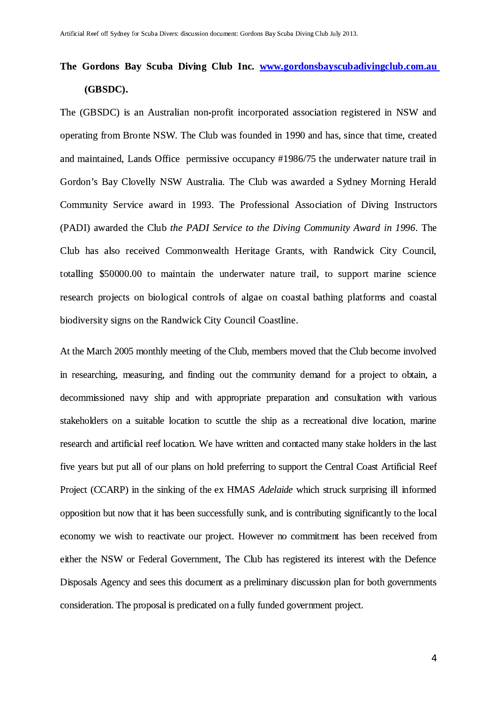# The Gordons Bay Scuba Diving Club Inc. www.gordonsbayscubadivingclub.com.au (GBSDC).

The (GBSDC) is an Australian non-profit incorporated association registered in NSW and operating from Bronte NSW. The Club was founded in 1990 and has, since that time, created and maintained, Lands Office permissive occupancy #1986/75 the underwater nature trail in Gordon's Bay Clovelly NSW Australia. The Club was awarded a Sydney Morning Herald Community Service award in 1993. The Professional Association of Diving Instructors (PADI) awarded the Club the PADI Service to the Diving Community Award in 1996. The Club has also received Commonwealth Heritage Grants, with Randwick City Council, totalling \$50000.00 to maintain the underwater nature trail, to support marine science research projects on biological controls of algae on coastal bathing platforms and coastal biodiversity signs on the Randwick City Council Coastline.

At the March 2005 monthly meeting of the Club, members moved that the Club become involved in researching, measuring, and finding out the community demand for a project to obtain, a decommissioned navy ship and with appropriate preparation and consultation with various stakeholders on a suitable location to scuttle the ship as a recreational dive location, marine research and artificial reef location. We have written and contacted many stake holders in the last five years but put all of our plans on hold preferring to support the Central Coast Artificial Reef Project (CCARP) in the sinking of the ex HMAS Adelaide which struck surprising ill informed opposition but now that it has been successfully sunk, and is contributing significantly to the local economy we wish to reactivate our project. However no commitment has been received from either the NSW or Federal Government, The Club has registered its interest with the Defence Disposals Agency and sees this document as a preliminary discussion plan for both governments consideration. The proposal is predicated on a fully funded government project.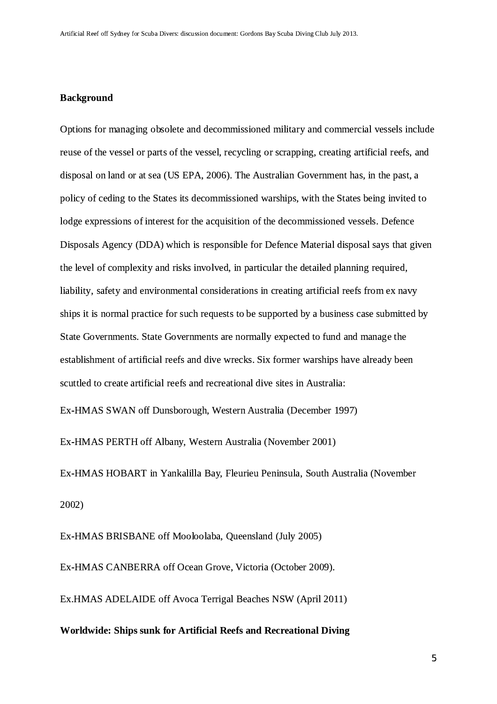#### Background

Options for managing obsolete and decommissioned military and commercial vessels include reuse of the vessel or parts of the vessel, recycling or scrapping, creating artificial reefs, and disposal on land or at sea (US EPA, 2006). The Australian Government has, in the past, a policy of ceding to the States its decommissioned warships, with the States being invited to lodge expressions of interest for the acquisition of the decommissioned vessels. Defence Disposals Agency (DDA) which is responsible for Defence Material disposal says that given the level of complexity and risks involved, in particular the detailed planning required, liability, safety and environmental considerations in creating artificial reefs from ex navy ships it is normal practice for such requests to be supported by a business case submitted by State Governments. State Governments are normally expected to fund and manage the establishment of artificial reefs and dive wrecks. Six former warships have already been scuttled to create artificial reefs and recreational dive sites in Australia:

Ex-HMAS SWAN off Dunsborough, Western Australia (December 1997)

Ex-HMAS PERTH off Albany, Western Australia (November 2001)

Ex-HMAS HOBART in Yankalilla Bay, Fleurieu Peninsula, South Australia (November 2002)

Ex-HMAS BRISBANE off Mooloolaba, Queensland (July 2005) Ex-HMAS CANBERRA off Ocean Grove, Victoria (October 2009). Ex.HMAS ADELAIDE off Avoca Terrigal Beaches NSW (April 2011)

Worldwide: Ships sunk for Artificial Reefs and Recreational Diving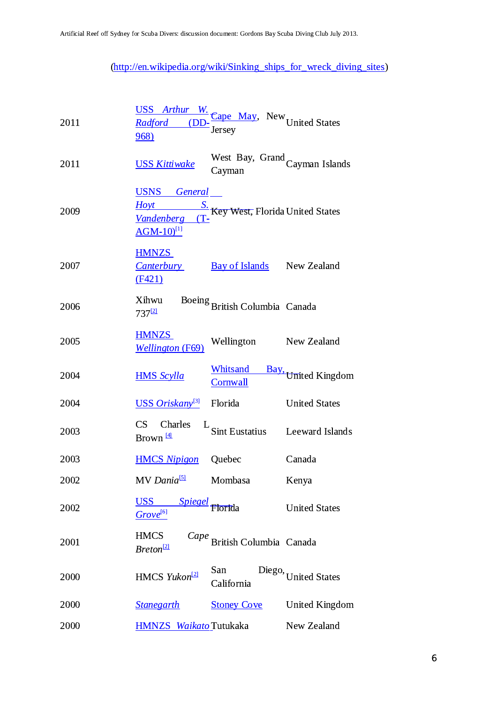# (http://en.wikipedia.org/wiki/Sinking\_ships\_for\_wreck\_diving\_sites)

| 2011 | 968)                                                                               | <u>USS Arthur W. Cape May</u> , New United States<br>Jersey |                       |
|------|------------------------------------------------------------------------------------|-------------------------------------------------------------|-----------------------|
| 2011 | <b>USS Kittiwake</b>                                                               | West Bay, Grand Cayman Islands<br>Cayman                    |                       |
| 2009 | <b>USNS</b> General<br><b>Hoyt</b><br><b>Vandenberg</b><br>$AGM-10$ <sup>[1]</sup> | S.<br><del>F</del> Key West, Florida United States          |                       |
| 2007 | <b>HMNZS</b><br><u>Canterbury</u><br>(F421)                                        | <b>Bay of Islands</b> New Zealand                           |                       |
| 2006 | Xihwu<br>73721                                                                     | Boeing<br>British Columbia Canada                           |                       |
| 2005 | <b>HMNZS</b><br><b>Wellington (F69)</b>                                            | Wellington                                                  | New Zealand           |
| 2004 | <b>HMS Scylla</b>                                                                  | <b>Whitsand</b><br>Bay,<br>Cornwall                         | <b>United Kingdom</b> |
| 2004 | <b>USS Oriskany</b> <sup>[3]</sup>                                                 | Florida                                                     | <b>United States</b>  |
| 2003 | CS Charles<br>Brown <sup>[4]</sup>                                                 | $L$ Sint Eustatius Leeward Islands                          |                       |
| 2003 | <b>HMCS Nipigon</b>                                                                | Quebec                                                      | Canada                |
| 2002 | MV Dania <sup>[5]</sup> Mombasa                                                    |                                                             | Kenya                 |
| 2002 | USS<br>Grove <sup>[6]</sup>                                                        | Spiegel Florida                                             | <b>United States</b>  |
| 2001 | HMCS<br>Breton <sup>[2]</sup>                                                      | Cape British Columbia Canada                                |                       |
| 2000 | HMCS Yukon <sup>[2]</sup>                                                          | San<br>California                                           | Diego, United States  |
| 2000 | <b>Stanegarth</b>                                                                  | <b>Stoney Cove</b>                                          | <b>United Kingdom</b> |
| 2000 | <b>HMNZS</b> Waikato Tutukaka                                                      |                                                             | New Zealand           |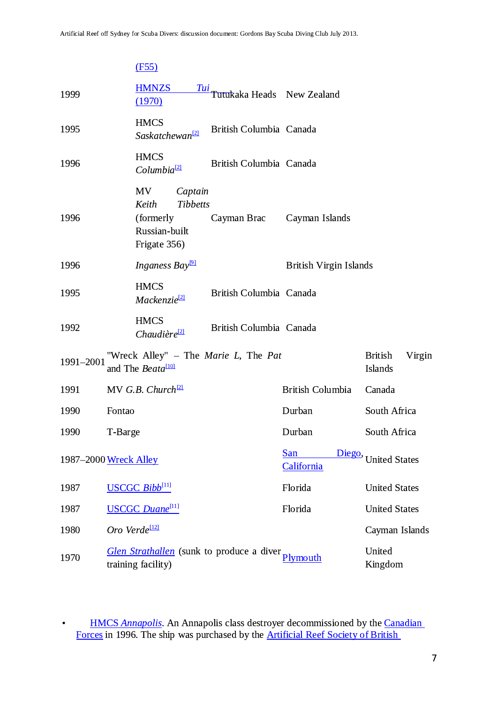|                       |                           | (F55)                                                                                     |                                                                  |                               |                           |        |
|-----------------------|---------------------------|-------------------------------------------------------------------------------------------|------------------------------------------------------------------|-------------------------------|---------------------------|--------|
| 1999                  |                           | <b>HMNZS</b><br>(1970)                                                                    | Tui.<br>Tutukaka Heads New Zealand                               |                               |                           |        |
| 1995                  |                           | <b>HMCS</b><br>Saskatchewan <sup>[2]</sup>                                                | British Columbia Canada                                          |                               |                           |        |
| 1996                  |                           | <b>HMCS</b><br>Columbia <sup>[2]</sup>                                                    | British Columbia Canada                                          |                               |                           |        |
| 1996                  |                           | Captain<br>MV.<br><b>Tibbetts</b><br>Keith<br>(formerly)<br>Russian-built<br>Frigate 356) | Cayman Brac                                                      | Cayman Islands                |                           |        |
| 1996                  |                           | Inganess Bay <sup>[9]</sup>                                                               |                                                                  | <b>British Virgin Islands</b> |                           |        |
| 1995                  |                           | <b>HMCS</b><br>Mackenzie <sup>[2]</sup>                                                   | British Columbia Canada                                          |                               |                           |        |
| 1992                  |                           | <b>HMCS</b><br>Chaudière <sup>[2]</sup>                                                   | British Columbia Canada                                          |                               |                           |        |
| 1991-2001             |                           | and The Beata <sup>[10]</sup>                                                             | "Wreck Alley" – The Marie L, The Pat                             |                               | <b>British</b><br>Islands | Virgin |
| 1991                  |                           | MV G.B. Church <sup>[2]</sup>                                                             |                                                                  | British Columbia              | Canada                    |        |
| 1990                  | Fontao                    |                                                                                           |                                                                  | Durban                        | South Africa              |        |
| 1990                  | T-Barge                   |                                                                                           |                                                                  | Durban                        | South Africa              |        |
| 1987–2000 Wreck Alley |                           |                                                                                           |                                                                  | San<br>California             | Diego, United States      |        |
| 1987                  |                           | <b>USCGC Bibb</b> <sup>[11]</sup>                                                         |                                                                  | Florida                       | <b>United States</b>      |        |
| 1987                  |                           | <b>USCGC Duane</b> <sup>[11]</sup>                                                        |                                                                  | Florida                       | <b>United States</b>      |        |
| 1980                  | Oro Verde <sup>[12]</sup> |                                                                                           |                                                                  |                               | Cayman Islands            |        |
| 1970                  |                           | training facility)                                                                        | <b>Glen Strathallen</b> (sunk to produce a diver <b>Plymouth</b> |                               | United<br>Kingdom         |        |

• HMCS Annapolis. An Annapolis class destroyer decommissioned by the Canadian Forces in 1996. The ship was purchased by the **Artificial Reef Society of British**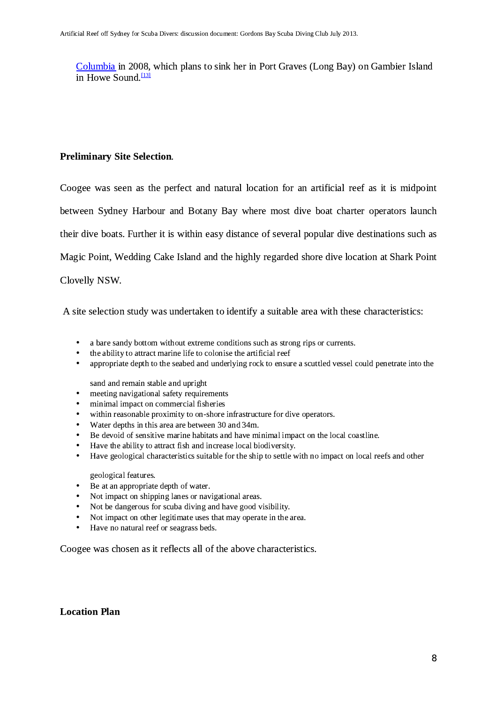Columbia in 2008, which plans to sink her in Port Graves (Long Bay) on Gambier Island in Howe Sound. $\frac{13}{13}$ 

#### Preliminary Site Selection.

Coogee was seen as the perfect and natural location for an artificial reef as it is midpoint between Sydney Harbour and Botany Bay where most dive boat charter operators launch their dive boats. Further it is within easy distance of several popular dive destinations such as Magic Point, Wedding Cake Island and the highly regarded shore dive location at Shark Point Clovelly NSW.

A site selection study was undertaken to identify a suitable area with these characteristics:

- a bare sandy bottom without extreme conditions such as strong rips or currents.
- the ability to attract marine life to colonise the artificial reef
- appropriate depth to the seabed and underlying rock to ensure a scuttled vessel could penetrate into the

sand and remain stable and upright

- meeting navigational safety requirements
- minimal impact on commercial fisheries
- within reasonable proximity to on-shore infrastructure for dive operators.
- Water depths in this area are between 30 and 34m.
- Be devoid of sensitive marine habitats and have minimal impact on the local coastline.
- Have the ability to attract fish and increase local biodiversity.
- Have geological characteristics suitable for the ship to settle with no impact on local reefs and other

geological features.

- Be at an appropriate depth of water.
- Not impact on shipping lanes or navigational areas.
- Not be dangerous for scuba diving and have good visibility.
- Not impact on other legitimate uses that may operate in the area.
- Have no natural reef or seagrass beds.

Coogee was chosen as it reflects all of the above characteristics.

#### Location Plan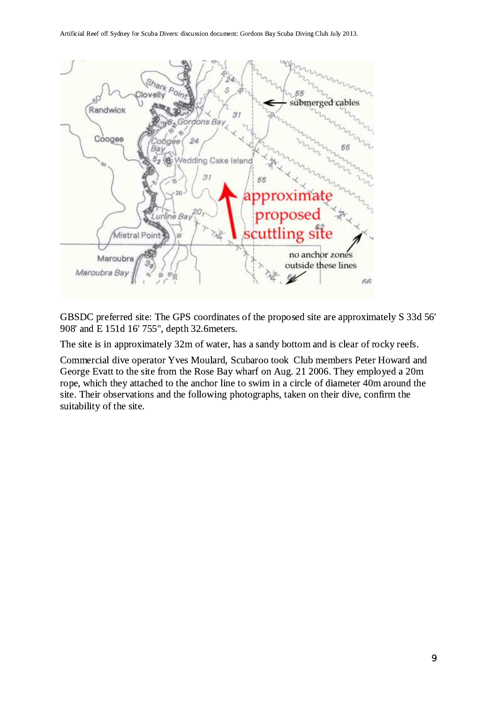

GBSDC preferred site: The GPS coordinates of the proposed site are approximately S 33d 56' 908' and E 151d 16' 755", depth 32.6meters.

The site is in approximately 32m of water, has a sandy bottom and is clear of rocky reefs.

Commercial dive operator Yves Moulard, Scubaroo took Club members Peter Howard and George Evatt to the site from the Rose Bay wharf on Aug. 21 2006. They employed a 20m rope, which they attached to the anchor line to swim in a circle of diameter 40m around the site. Their observations and the following photographs, taken on their dive, confirm the suitability of the site.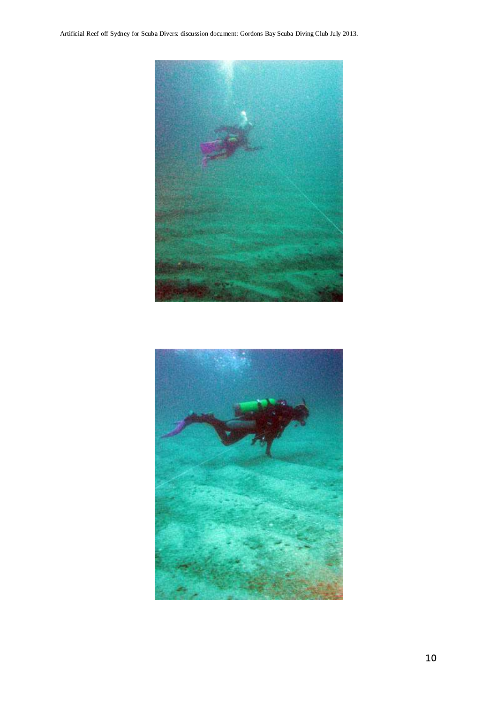



10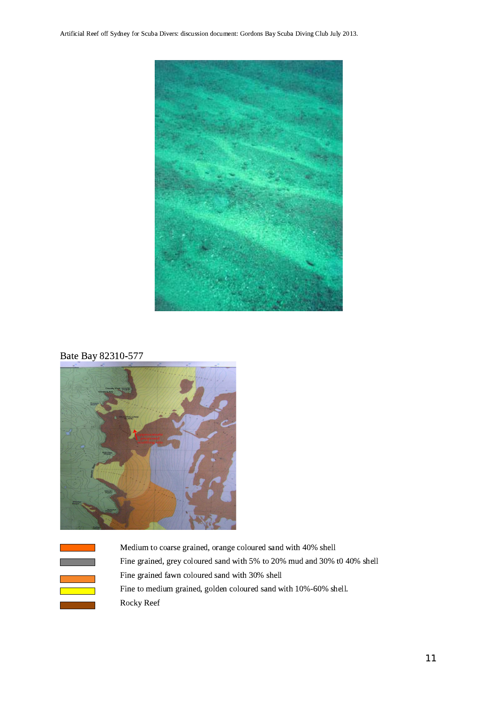

# Bate Bay 82310-577



Medium to coarse grained, orange coloured sand with 40% shell Fine grained, grey coloured sand with 5% to 20% mud and 30% t0 40% shell Fine grained fawn coloured sand with 30% shell Fine to medium grained, golden coloured sand with 10%-60% shell. Rocky Reef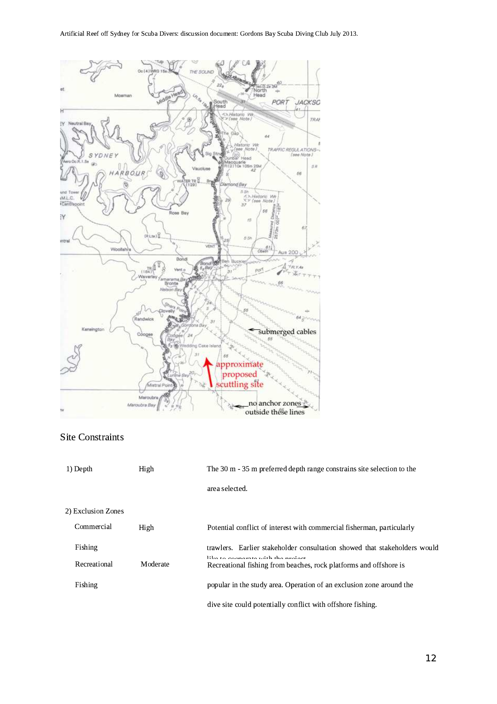

## Site Constraints

| 1) Depth           | High     | The 30 m - 35 m preferred depth range constrains site selection to the                                   |  |
|--------------------|----------|----------------------------------------------------------------------------------------------------------|--|
|                    |          | area selected.                                                                                           |  |
| 2) Exclusion Zones |          |                                                                                                          |  |
| Commercial         | High     | Potential conflict of interest with commercial fisherman, particularly                                   |  |
| Fishing            |          | trawlers. Earlier stakeholder consultation showed that stakeholders would                                |  |
| Recreational       | Moderate | liba ta ananavata suith tha nuainat<br>Recreational fishing from beaches, rock platforms and offshore is |  |
| Fishing            |          | popular in the study area. Operation of an exclusion zone around the                                     |  |
|                    |          | dive site could potentially conflict with offshore fishing.                                              |  |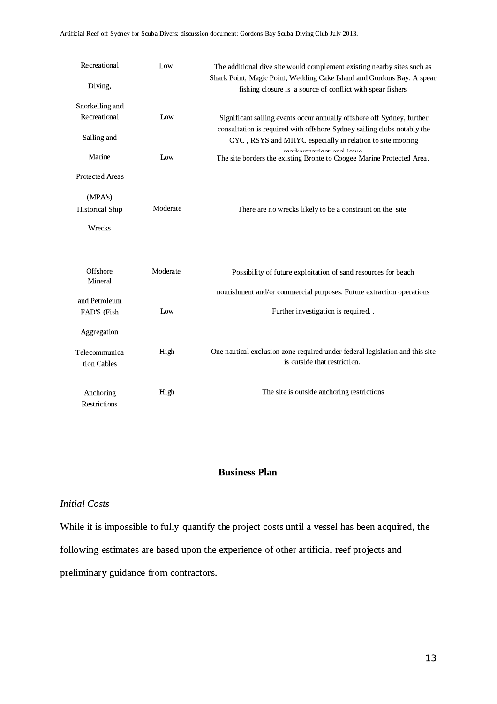| Recreational<br>Diving,      | Low      | The additional dive site would complement existing nearby sites such as<br>Shark Point, Magic Point, Wedding Cake Island and Gordons Bay. A spear<br>fishing closure is a source of conflict with spear fishers |
|------------------------------|----------|-----------------------------------------------------------------------------------------------------------------------------------------------------------------------------------------------------------------|
| Snorkelling and              |          |                                                                                                                                                                                                                 |
| Recreational                 | Low      | Significant sailing events occur annually offshore off Sydney, further                                                                                                                                          |
| Sailing and                  |          | consultation is required with offshore Sydney sailing clubs notably the<br>CYC, RSYS and MHYC especially in relation to site mooring<br>markorenavirational iccuo                                               |
| Marine                       | Low      | The site borders the existing Bronte to Coogee Marine Protected Area.                                                                                                                                           |
| <b>Protected Areas</b>       |          |                                                                                                                                                                                                                 |
| (MPA's)                      |          |                                                                                                                                                                                                                 |
| <b>Historical Ship</b>       | Moderate | There are no wrecks likely to be a constraint on the site.                                                                                                                                                      |
| Wrecks                       |          |                                                                                                                                                                                                                 |
|                              |          |                                                                                                                                                                                                                 |
| Offshore<br>Mineral          | Moderate | Possibility of future exploitation of sand resources for beach                                                                                                                                                  |
|                              |          | nourishment and/or commercial purposes. Future extraction operations                                                                                                                                            |
| and Petroleum<br>FAD'S (Fish | Low      | Further investigation is required. .                                                                                                                                                                            |
|                              |          |                                                                                                                                                                                                                 |
| Aggregation                  |          |                                                                                                                                                                                                                 |
| Telecommunica<br>tion Cables | High     | One nautical exclusion zone required under federal legislation and this site<br>is outside that restriction.                                                                                                    |
| Anchoring<br>Restrictions    | High     | The site is outside anchoring restrictions                                                                                                                                                                      |

### Business Plan

#### Initial Costs

While it is impossible to fully quantify the project costs until a vessel has been acquired, the following estimates are based upon the experience of other artificial reef projects and preliminary guidance from contractors.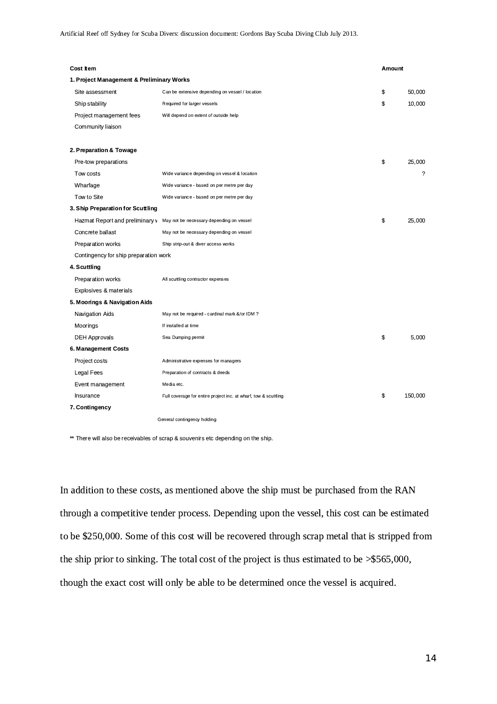| <b>Cost Item</b>                          |                                                                 | Amount |         |  |
|-------------------------------------------|-----------------------------------------------------------------|--------|---------|--|
| 1. Project Management & Preliminary Works |                                                                 |        |         |  |
| Site assessment                           | Can be extensive depending on vessel / location                 | \$     | 50,000  |  |
| Ship stability                            | Required for larger vessels                                     | \$     | 10,000  |  |
| Project management fees                   | Will depend on extent of outside help                           |        |         |  |
| Community liaison                         |                                                                 |        |         |  |
|                                           |                                                                 |        |         |  |
| 2. Preparation & Towage                   |                                                                 |        |         |  |
| Pre-tow preparations                      |                                                                 | \$     | 25,000  |  |
| Tow costs                                 | Wide variance depending on vessel & location                    |        | 2       |  |
| Wharfage                                  | Wide variance - based on per metre per day                      |        |         |  |
| Tow to Site                               | Wide variance - based on per metre per day                      |        |         |  |
| 3. Ship Preparation for Scuttling         |                                                                 |        |         |  |
| Hazmat Report and preliminary \           | May not be necessary depending on vessel                        | \$     | 25,000  |  |
| Concrete ballast                          | May not be necessary depending on vessel                        |        |         |  |
| Preparation works                         | Ship strip-out & diver access works                             |        |         |  |
| Contingency for ship preparation work     |                                                                 |        |         |  |
| 4. Scuttling                              |                                                                 |        |         |  |
| Preparation works                         | All scuttling contractor expenses                               |        |         |  |
| Explosives & materials                    |                                                                 |        |         |  |
| 5. Moorings & Navigation Aids             |                                                                 |        |         |  |
| <b>Navigation Aids</b>                    | May not be required - cardinal mark &/or IDM?                   |        |         |  |
| Moorings                                  | If installed at time                                            |        |         |  |
| <b>DEH Approvals</b>                      | Sea Dumping permit                                              | \$     | 5,000   |  |
| 6. Management Costs                       |                                                                 |        |         |  |
| Project costs                             | Administrative expenses for managers                            |        |         |  |
| Legal Fees                                | Preparation of contracts & deeds                                |        |         |  |
| Event management                          | Media etc.                                                      |        |         |  |
| Insurance                                 | Full coverage for entire project inc. at wharf, tow & scuttling | \$     | 150,000 |  |
| 7. Contingency                            |                                                                 |        |         |  |
|                                           | General contingency holding                                     |        |         |  |

\*\* There will also be receivables of scrap & souvenirs etc depending on the ship.

In addition to these costs, as mentioned above the ship must be purchased from the RAN through a competitive tender process. Depending upon the vessel, this cost can be estimated to be \$250,000. Some of this cost will be recovered through scrap metal that is stripped from the ship prior to sinking. The total cost of the project is thus estimated to be >\$565,000, though the exact cost will only be able to be determined once the vessel is acquired.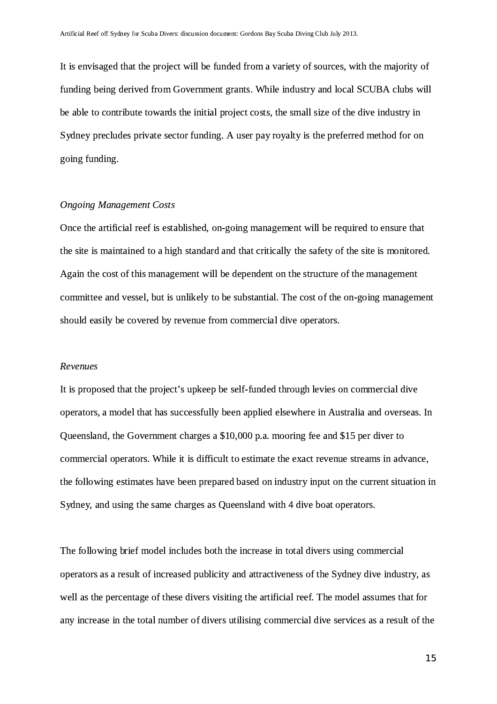It is envisaged that the project will be funded from a variety of sources, with the majority of funding being derived from Government grants. While industry and local SCUBA clubs will be able to contribute towards the initial project costs, the small size of the dive industry in Sydney precludes private sector funding. A user pay royalty is the preferred method for on going funding.

#### Ongoing Management Costs

Once the artificial reef is established, on-going management will be required to ensure that the site is maintained to a high standard and that critically the safety of the site is monitored. Again the cost of this management will be dependent on the structure of the management committee and vessel, but is unlikely to be substantial. The cost of the on-going management should easily be covered by revenue from commercial dive operators.

#### Revenues

It is proposed that the project's upkeep be self-funded through levies on commercial dive operators, a model that has successfully been applied elsewhere in Australia and overseas. In Queensland, the Government charges a \$10,000 p.a. mooring fee and \$15 per diver to commercial operators. While it is difficult to estimate the exact revenue streams in advance, the following estimates have been prepared based on industry input on the current situation in Sydney, and using the same charges as Queensland with 4 dive boat operators.

The following brief model includes both the increase in total divers using commercial operators as a result of increased publicity and attractiveness of the Sydney dive industry, as well as the percentage of these divers visiting the artificial reef. The model assumes that for any increase in the total number of divers utilising commercial dive services as a result of the